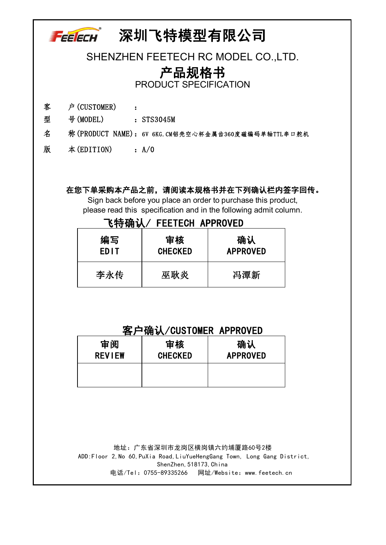# FEELECH 深圳飞特模型有限公司 SHENZHEN FEETECH RC MODEL CO.,LTD. 产品规格书 PRODUCT SPECIFICATION 客 户(CUSTOMER) : 型 号(MODEL) : STS3045M 名 称(PRODUCT NAME):6V 6KG.CM铝壳空心杯金属齿360度磁编码单轴TTL串口舵机

版  $\#$  (EDITION) : A/0

## 在您下单采购本产品之前,请阅读本规格书并在下列确认栏内签字回传。

Sign back before you place an order to purchase this product, please read this specification and in the following admit column.

## 飞特确认/ FEETECH APPROVED

| 编写   | 审核             | 确认              |
|------|----------------|-----------------|
| EDIT | <b>CHECKED</b> | <b>APPROVED</b> |
| 李永传  | 巫耿炎            | 冯潭新             |

## 客户确认/CUSTOMER APPROVED

| 审阅            | 确认              |
|---------------|-----------------|
| <b>REVIEW</b> | <b>APPROVED</b> |
|               |                 |

地址:广东省深圳市龙岗区横岗镇六约埔厦路60号2楼 ADD:Floor 2,No 60,PuXia Road,LiuYueHengGang Town, Long Gang District, ShenZhen, 518173, China 电话/Tel:0755-89335266 网址/Website:www.feetech.cn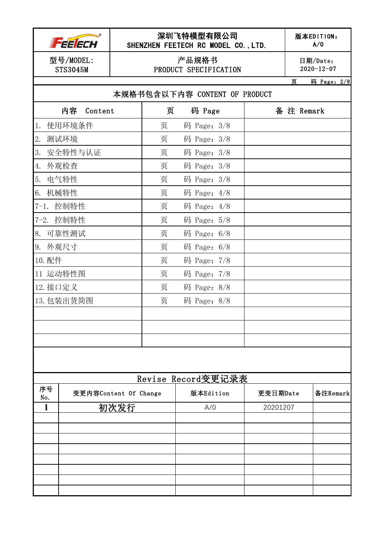|           | <b>EE ECH</b>                |                       | 深圳飞特模型有限公司<br>SHENZHEN FEETECH RC MODEL CO., LTD. |          |            | 版本EDITION:<br>A/0            |  |
|-----------|------------------------------|-----------------------|---------------------------------------------------|----------|------------|------------------------------|--|
|           | 型号/MODEL:<br><b>STS3045M</b> |                       | 产品规格书<br>PRODUCT SPECIFICATION                    |          |            | 日期/Date:<br>$2020 - 12 - 07$ |  |
|           |                              |                       |                                                   |          | 页          | 码 Page: 2/8                  |  |
|           |                              |                       | 本规格书包含以下内容 CONTENT OF PRODUCT                     |          |            |                              |  |
|           | 内容<br>Content                | 页                     | 码 Page                                            |          | 备 注 Remark |                              |  |
|           | 1. 使用环境条件                    | 页                     | 码 Page: 3/8                                       |          |            |                              |  |
| 2. 测试环境   |                              | 页                     | 码 Page: 3/8                                       |          |            |                              |  |
|           | 3. 安全特性与认证                   | 页                     | 码 Page: 3/8                                       |          |            |                              |  |
| 4. 外观检查   |                              | 页                     | 码 Page: 3/8                                       |          |            |                              |  |
| 5. 电气特性   |                              | 页                     | 码 Page: 3/8                                       |          |            |                              |  |
| 6. 机械特性   |                              | 页                     | 码 Page: $4/8$                                     |          |            |                              |  |
| 7-1. 控制特性 |                              | 页                     | 码 Page: 4/8                                       |          |            |                              |  |
| 7-2. 控制特性 |                              | 页                     | 码 Page: 5/8                                       |          |            |                              |  |
| 8. 可靠性测试  |                              | 页                     | 码 Page: 6/8                                       |          |            |                              |  |
| 9. 外观尺寸   |                              | 页                     | 码 Page: 6/8                                       |          |            |                              |  |
| 10. 配件    |                              | 页                     | 码 Page: 7/8                                       |          |            |                              |  |
| 11 运动特性图  |                              | 页                     | 码 Page: 7/8                                       |          |            |                              |  |
| 12. 接口定义  |                              | 页                     | 码 Page: $8/8$                                     |          |            |                              |  |
|           | 13. 包装出货简图                   | 页                     | 码 Page: 8/8                                       |          |            |                              |  |
|           |                              |                       |                                                   |          |            |                              |  |
|           |                              |                       |                                                   |          |            |                              |  |
|           |                              |                       |                                                   |          |            |                              |  |
|           |                              |                       |                                                   |          |            |                              |  |
|           |                              |                       | Revise Record变更记录表                                |          |            |                              |  |
| 序号<br>No. |                              | 变更内容Content Of Change | 版本Edition                                         | 更变日期Date |            | 备注Remark                     |  |
| 1         |                              | 初次发行                  | A/O                                               | 20201207 |            |                              |  |
|           |                              |                       |                                                   |          |            |                              |  |
|           |                              |                       |                                                   |          |            |                              |  |
|           |                              |                       |                                                   |          |            |                              |  |
|           |                              |                       |                                                   |          |            |                              |  |
|           |                              |                       |                                                   |          |            |                              |  |
|           |                              |                       |                                                   |          |            |                              |  |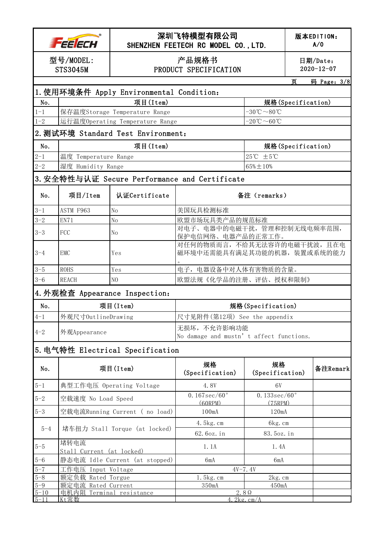|          | <b>EE ECH</b>                                               |                                          | 深圳飞特模型有限公司<br>SHENZHEN FEETECH RC MODEL CO., LTD.          |                                                   |   | 版本EDITION:<br>A/0            |  |
|----------|-------------------------------------------------------------|------------------------------------------|------------------------------------------------------------|---------------------------------------------------|---|------------------------------|--|
|          | 型号/MODEL:<br><b>STS3045M</b>                                |                                          | 产品规格书<br>PRODUCT SPECIFICATION                             |                                                   |   | 日期/Date:<br>$2020 - 12 - 07$ |  |
|          |                                                             |                                          |                                                            |                                                   | 页 | 码 Page: $3/8$                |  |
|          |                                                             | 1. 使用环境条件 Apply Environmental Condition: |                                                            |                                                   |   |                              |  |
| No.      |                                                             | 项目(Item)                                 |                                                            | 规格(Specification)                                 |   |                              |  |
| $1 - 1$  |                                                             | 保存温度Storage Temperature Range            |                                                            | $-30^{\circ}\mathrm{C} \sim 80^{\circ}\mathrm{C}$ |   |                              |  |
| $1 - 2$  | 运行温度Operating Temperature Range                             |                                          | $-20^{\circ}\text{C} \sim 60^{\circ}\text{C}$              |                                                   |   |                              |  |
|          |                                                             | 2.测试环境 Standard Test Environment:        |                                                            |                                                   |   |                              |  |
| No.      |                                                             | 项目(Item)                                 | 规格(Specification)                                          |                                                   |   |                              |  |
| $2 - 1$  | 温度 Temperature Range                                        |                                          | $25^{\circ}C \pm 5^{\circ}C$                               |                                                   |   |                              |  |
| $2 - 2$  | 湿度 Humidity Range                                           |                                          |                                                            | $65\% \pm 10\%$                                   |   |                              |  |
|          |                                                             |                                          | 3.安全特性与认证 Secure Performance and Certificate               |                                                   |   |                              |  |
| No.      | 项目/Item                                                     | 认证Certificate                            |                                                            | 备注 (remarks)                                      |   |                              |  |
| $3 - 1$  | ASTM F963                                                   | No                                       | 美国玩具检测标准                                                   |                                                   |   |                              |  |
| $3 - 2$  | <b>EN71</b>                                                 | $\rm No$                                 | 欧盟市场玩具类产品的规范标准                                             |                                                   |   |                              |  |
| $3 - 3$  | <b>FCC</b>                                                  | No.                                      |                                                            | 对电子、电器中的电磁干扰,管理和控制无线电频率范围,<br>保护电信网络、电器产品的正常工作。   |   |                              |  |
| $3 - 4$  | <b>EMC</b>                                                  | Yes                                      | 对任何的物质而言, 不给其无法容许的电磁干扰波, 且在电<br>磁环境中还需能具有满足其功能的机器,装置或系统的能力 |                                                   |   |                              |  |
| $3 - 5$  | <b>ROHS</b>                                                 | Yes                                      | 电子, 电器设备中对人体有害物质的含量。                                       |                                                   |   |                              |  |
| $3 - 6$  | <b>REACH</b>                                                | NO                                       | 欧盟法规《化学品的注册、评估、授权和限制》                                      |                                                   |   |                              |  |
|          |                                                             | 4. 外观检查 Appearance Inspection:           |                                                            |                                                   |   |                              |  |
| No.      | 项目(Item)                                                    |                                          | 规格(Specification)                                          |                                                   |   |                              |  |
| $4 - 1$  | 外观尺寸0utlineDrawing                                          |                                          | 尺寸见附件(第12项) See the appendix                               |                                                   |   |                              |  |
| $4 - 2$  | 外观Appearance                                                |                                          | 无损坏,不允许影响功能<br>No damage and mustn' t affect functions.    |                                                   |   |                              |  |
|          |                                                             | 5. 电气特性 Electrical Specification         |                                                            |                                                   |   |                              |  |
| No.      | 项目(Item)                                                    |                                          | 规格<br>(Specification)                                      | 规格<br>(Specification)                             |   | 备注Remark                     |  |
| $5 - 1$  |                                                             | 典型工作电压 Operating Voltage                 | 4.8V                                                       | 6V                                                |   |                              |  |
| $5 - 2$  | 空载速度 No Load Speed                                          |                                          | $0.167\sec/60^{\circ}$<br>$(60$ RPM $)$                    | 0.133sec/60°<br>(75RPM)                           |   |                              |  |
| $5 - 3$  | 空载电流Running Current (no load)                               |                                          | 100mA                                                      | 120mA                                             |   |                              |  |
| $5 - 4$  | 堵车扭力 Stall Torque (at locked)                               |                                          | 4.5kg.cm                                                   | 6kg.cm                                            |   |                              |  |
| $5 - 5$  | 堵转电流                                                        |                                          | 62.6oz.in<br>1.1A                                          | 83.5oz.in<br>1.4A                                 |   |                              |  |
| $5 - 6$  | Stall Current (at locked)<br>静态电流 Idle Current (at stopped) |                                          |                                                            |                                                   |   |                              |  |
| $5 - 7$  | 工作电压 Input Voltage                                          |                                          | 6mA<br>6mA<br>$4V - 7.4V$                                  |                                                   |   |                              |  |
| $5 - 8$  | 额定负载 Rated Torgue                                           |                                          | $1.5$ kg. cm                                               | $2kg.$ cm                                         |   |                              |  |
| $5 - 9$  | 额定电流 Rated Current                                          |                                          | 350mA                                                      | 450mA                                             |   |                              |  |
| $5 - 10$ | 电机内阻 Terminal resistance                                    |                                          |                                                            | $2.8\Omega$                                       |   |                              |  |
| $5 - 11$ | Kt常数                                                        |                                          | $\overline{4.2kg}$ . cm/A                                  |                                                   |   |                              |  |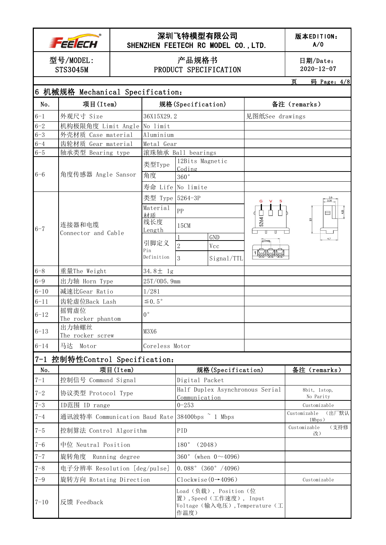|                    | <b>EE ECH</b>                                                  |                    | 深圳飞特模型有限公司<br>版本EDITION:<br>A/0<br>SHENZHEN FEETECH RC MODEL CO., LTD.                   |                                       |                                         |                              |  |
|--------------------|----------------------------------------------------------------|--------------------|------------------------------------------------------------------------------------------|---------------------------------------|-----------------------------------------|------------------------------|--|
|                    | 型号/MODEL:<br>产品规格书<br><b>STS3045M</b><br>PRODUCT SPECIFICATION |                    |                                                                                          |                                       |                                         | 日期/Date:<br>$2020 - 12 - 07$ |  |
|                    |                                                                |                    |                                                                                          |                                       |                                         | 页<br>码 Page: 4/8             |  |
|                    | 6 机械规格 Mechanical Specification:                               |                    |                                                                                          |                                       |                                         |                              |  |
| No.                | 项目(Item)                                                       |                    |                                                                                          | 规格(Specification)                     |                                         | 备注 (remarks)                 |  |
| $6 - 1$            | 外观尺寸 Size                                                      |                    | 36X15X29.2                                                                               |                                       | 见图纸See drawings                         |                              |  |
| $6 - 2$            | 机构极限角度 Limit Angle No limit                                    |                    |                                                                                          |                                       |                                         |                              |  |
| $6 - 3$            | 外壳材质 Case material                                             |                    | Aluminium                                                                                |                                       |                                         |                              |  |
| $6 - 4$<br>$6 - 5$ | 齿轮材质 Gear material<br>轴承类型 Bearing type                        |                    | Metal Gear                                                                               | 滚珠轴承 Ball bearings                    |                                         |                              |  |
| $6 - 6$            | 角度传感器 Angle Sansor                                             |                    | 类型Type<br>角度                                                                             | 12Bits Magnetic<br>Coding<br>360°     |                                         |                              |  |
|                    |                                                                |                    | 寿命 Life                                                                                  | No limite                             |                                         |                              |  |
|                    | 连接器和电缆<br>Connector and Cable                                  |                    | 类型 Type 5264-3P<br>Material<br>材质                                                        | PP                                    |                                         | $\frac{3.9}{3.30}$<br>$\Box$ |  |
| $6 - 7$            |                                                                |                    | 线长度<br>Length<br>引脚定义<br>Pin<br>Definition                                               | 15CM<br>GND<br>Vcc<br>Signal/TTL<br>3 | 5264<br>2.5+0.05<br>1000                | 있                            |  |
| $6 - 8$            | 重量The Weight                                                   |                    | 34.8 $\pm$ 1g                                                                            |                                       |                                         |                              |  |
| $6 - 9$            | 出力轴 Horn Type                                                  |                    | 25T/OD5.9mm                                                                              |                                       |                                         |                              |  |
| $6 - 10$           | 减速比Gear Ratio                                                  |                    | 1/281                                                                                    |                                       |                                         |                              |  |
| $6 - 11$           | 齿轮虚位Back Lash                                                  |                    | $\leq 0.5$ °                                                                             |                                       |                                         |                              |  |
| $6 - 12$           | 摇臂虚位<br>The rocker phantom                                     |                    | $0^{\circ}$                                                                              |                                       |                                         |                              |  |
| $6 - 13$           | 出力轴螺丝<br>The rocker screw                                      |                    | M3X6                                                                                     |                                       |                                         |                              |  |
| $6 - 14$           | 马达 Motor                                                       |                    | Coreless Motor                                                                           |                                       |                                         |                              |  |
|                    | 7-1 控制特性Control Specification:                                 |                    |                                                                                          |                                       |                                         |                              |  |
| No.                |                                                                | 项目(Item)           |                                                                                          | 规格(Specification)                     |                                         | 备注 (remarks)                 |  |
| $7 - 1$            | 控制信号 Command Signal                                            |                    |                                                                                          | Digital Packet                        |                                         |                              |  |
| $7 - 2$            |                                                                | 协议类型 Protocol Type |                                                                                          | Half Duplex Asynchronous Serial       |                                         | 8bit, 1stop,<br>No Parity    |  |
| $7 - 3$            | ID范围 ID range                                                  |                    | Communication<br>$0 - 253$                                                               |                                       | Customizable                            |                              |  |
| $7 - 4$            | 通讯波特率 Communication Baud Rate 38400bps ~ 1 Mbps                |                    |                                                                                          |                                       | Customizable (出厂默认<br>$1 \text{Mbps}$ ) |                              |  |
| $7 - 5$            | 控制算法 Control Algorithm                                         |                    | PID                                                                                      |                                       | (支持修<br>Customizable<br>改)              |                              |  |
| $7 - 6$            | 中位 Neutral Position                                            |                    | 180°<br>(2048)                                                                           |                                       |                                         |                              |  |
| $7 - 7$            | 旋转角度 Running degree                                            |                    | 360° (when $0 \sim 4096$ )                                                               |                                       |                                         |                              |  |
| $7 - 8$            | 电子分辨率 Resolution [deg/pulse]                                   |                    | $0.088^{\circ}$ (360° /4096)                                                             |                                       |                                         |                              |  |
| $7 - 9$            | 旋转方向 Rotating Direction                                        |                    |                                                                                          | Clockwise $(0 \rightarrow 4096)$      |                                         | Customizable                 |  |
| $7 - 10$           | 反馈 Feedback                                                    |                    | Load(负载),Position(位<br>置), Speed (工作速度), Input<br>Voltage (输入电压), Temperature (工<br>作温度) |                                       |                                         |                              |  |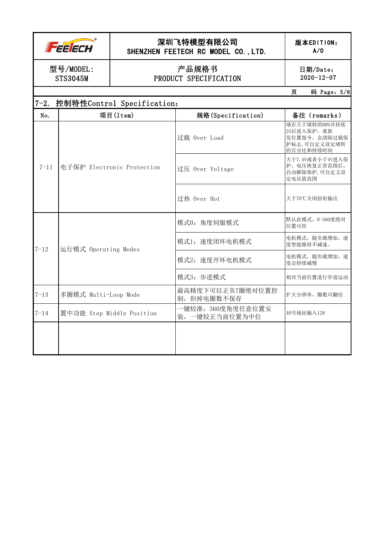|--|

### 深圳飞特模型有限公司 | 版本EDITION: SHENZHEN FEETECH RC MODEL CO., LTD.

A/0

型号/MODEL: STS3045M

### 产品规格书 PRODUCT SPECIFICATION

日期/Date: 2020-12-07

页 码 Page:5/8

|          | 7-2. 控制特性Control Specification: |                                   |                                                                            |  |  |  |
|----------|---------------------------------|-----------------------------------|----------------------------------------------------------------------------|--|--|--|
| No.      | 项目(Item)                        | 规格(Specification)                 | 备注 (remarks)                                                               |  |  |  |
|          |                                 | 过载 Over Load                      | 堵在大于堵转的80%并持续<br>2S后进入保护, 重新<br>发位置指令, 会清除过载保<br>护标志,可自定义设定堵转<br>的百分比和持续时间 |  |  |  |
| $7 - 11$ | 电子保护 Electronic Protection      | 过压 Over Voltage                   | 大于7.4V或者小于4V进入保<br>护, 电压恢复正常范围后,<br>自动解除保护,可自定义设<br>定电压值范围                 |  |  |  |
|          |                                 | 过热 Over Hot                       | 大于70℃关闭扭矩输出                                                                |  |  |  |
|          |                                 | 模式0: 角度伺服模式                       | 默认此模式, 0-360度绝对<br>位置可控                                                    |  |  |  |
| $7 - 12$ | 运行模式 Operating Modes            | 模式1: 速度闭环电机模式                     | 电机模式, 随负载增加, 速<br>度智能维持不减速。                                                |  |  |  |
|          |                                 | 模式2: 速度开环电机模式                     | 电机模式, 随负载增加, 速<br>度会持续减慢                                                   |  |  |  |
|          |                                 | 模式3: 步进模式                         | 相对当前位置进行步进运动                                                               |  |  |  |
| $7 - 13$ | 多圈模式 Multi-Loop Mode            | 最高精度下可以正负7圈绝对位置控<br>制,但掉电圈数不保存    | 扩大分辨率, 圈数可翻倍                                                               |  |  |  |
| $7 - 14$ | 置中功能 Step Middle Position       | 一键较准,360度角度任意位置安<br>装,一键较正当前位置为中位 | 40号地址输入128                                                                 |  |  |  |
|          |                                 |                                   |                                                                            |  |  |  |
|          |                                 |                                   |                                                                            |  |  |  |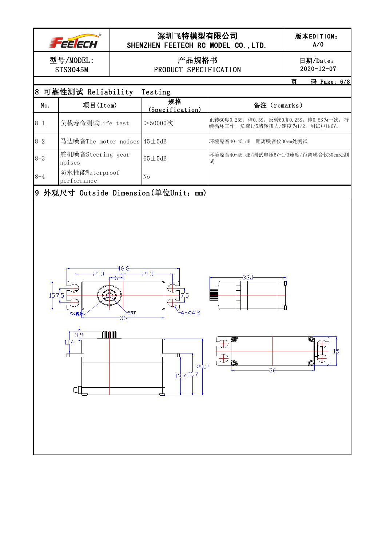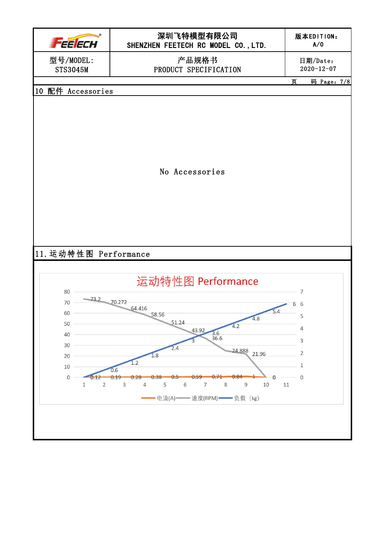